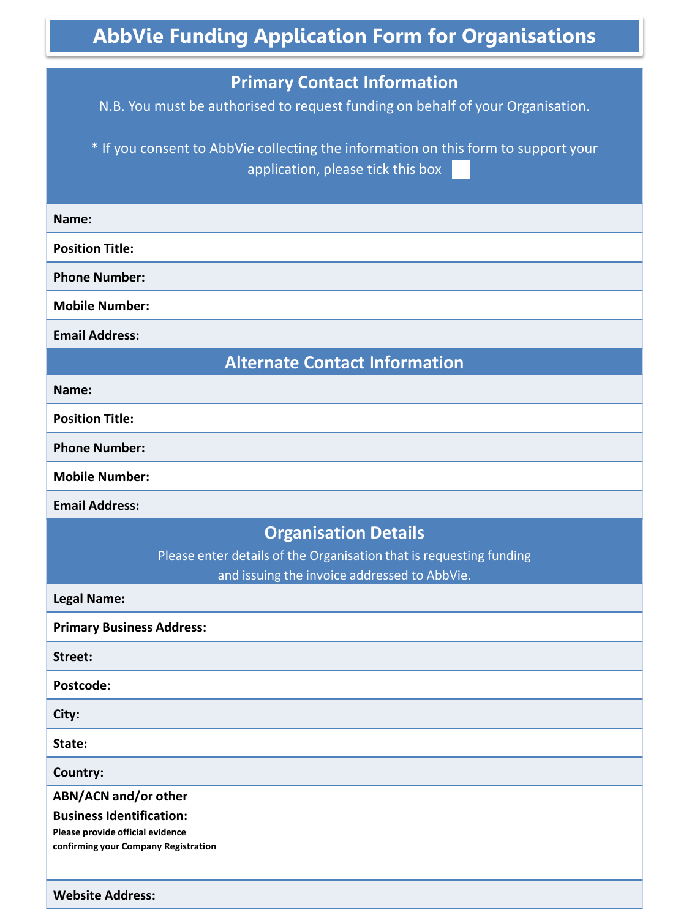## **AbbVie Funding Application Form for Organisations Primary Contact Information** N.B. You must be authorised to request funding on behalf of your Organisation. \* If you consent to AbbVie collecting the information on this form to support your application, please tick this box **Name: Position Title: Phone Number: Mobile Number: Email Address: Alternate Contact Information Name: Position Title: Phone Number: Mobile Number: Email Address: Organisation Details** Please enter details of the Organisation that is requesting funding and issuing the invoice addressed to AbbVie. **Legal Name: Primary Business Address: Street: Postcode: City: State: Country: ABN/ACN and/or other Business Identification: Please provide official evidence confirming your Company Registration Website Address:** <sup>1</sup>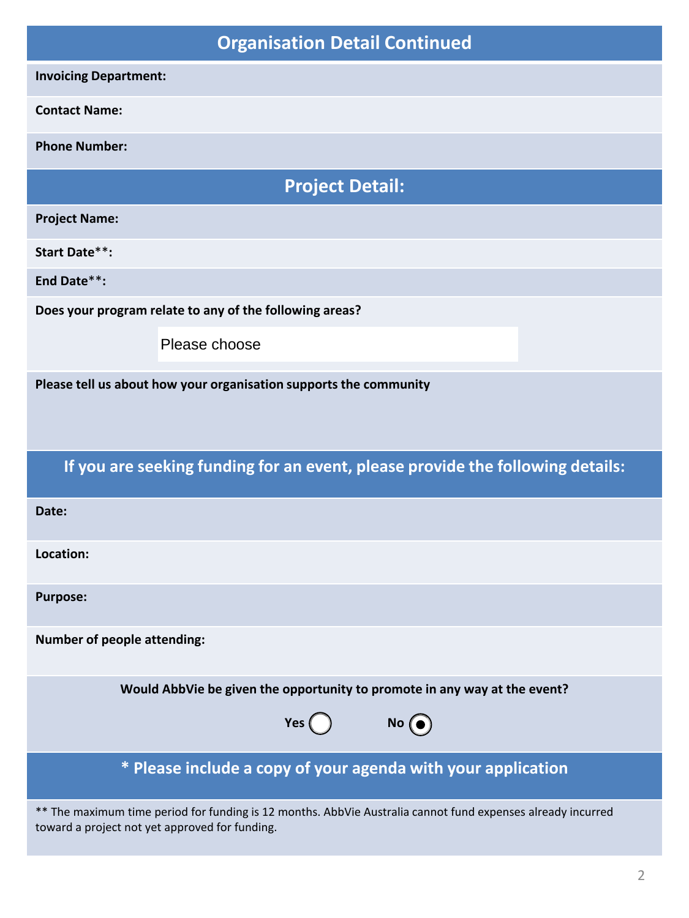| <b>Organisation Detail Continued</b>                                           |                                                                                                                                                               |  |  |
|--------------------------------------------------------------------------------|---------------------------------------------------------------------------------------------------------------------------------------------------------------|--|--|
| <b>Invoicing Department:</b>                                                   |                                                                                                                                                               |  |  |
| <b>Contact Name:</b>                                                           |                                                                                                                                                               |  |  |
| <b>Phone Number:</b>                                                           |                                                                                                                                                               |  |  |
| <b>Project Detail:</b>                                                         |                                                                                                                                                               |  |  |
| <b>Project Name:</b>                                                           |                                                                                                                                                               |  |  |
| <b>Start Date**:</b>                                                           |                                                                                                                                                               |  |  |
| End Date**:                                                                    |                                                                                                                                                               |  |  |
| Does your program relate to any of the following areas?                        |                                                                                                                                                               |  |  |
|                                                                                | Please choose                                                                                                                                                 |  |  |
| Please tell us about how your organisation supports the community              |                                                                                                                                                               |  |  |
| If you are seeking funding for an event, please provide the following details: |                                                                                                                                                               |  |  |
| Date:                                                                          |                                                                                                                                                               |  |  |
| Location:                                                                      |                                                                                                                                                               |  |  |
| <b>Purpose:</b>                                                                |                                                                                                                                                               |  |  |
| <b>Number of people attending:</b>                                             |                                                                                                                                                               |  |  |
| Would AbbVie be given the opportunity to promote in any way at the event?      |                                                                                                                                                               |  |  |
|                                                                                | $N^{\circ}$<br>Yes()                                                                                                                                          |  |  |
| * Please include a copy of your agenda with your application                   |                                                                                                                                                               |  |  |
|                                                                                | ** The maximum time period for funding is 12 months. AbbVie Australia cannot fund expenses already incurred<br>toward a project not yet approved for funding. |  |  |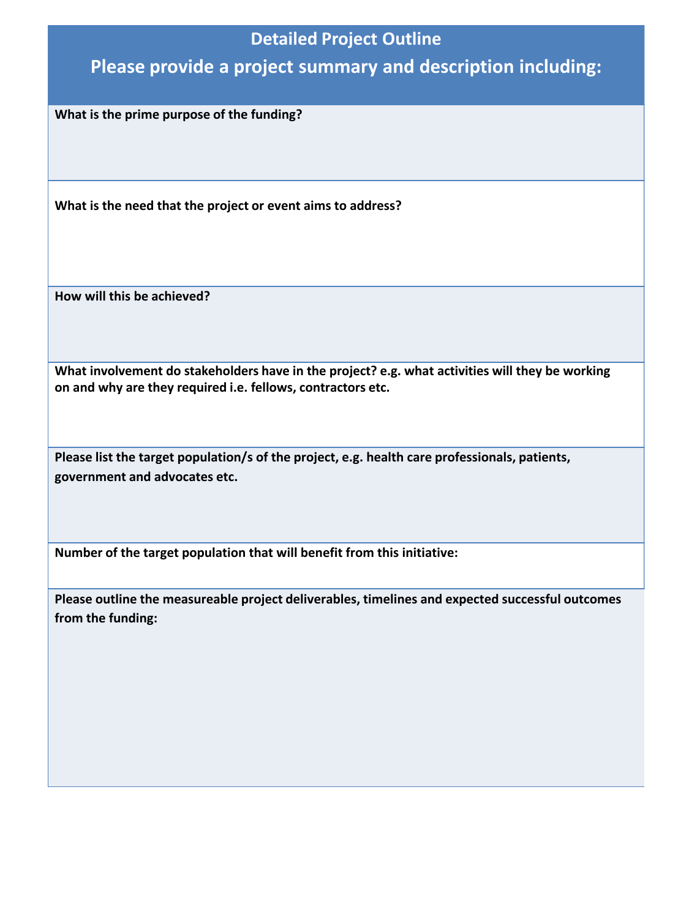## **Detailed Project Outline**

## **Please provide a project summary and description including:**

**What is the prime purpose of the funding?** 

**What is the need that the project or event aims to address?**

**How will this be achieved?**

**What involvement do stakeholders have in the project? e.g. what activities will they be working on and why are they required i.e. fellows, contractors etc.**

**Please list the target population/s of the project, e.g. health care professionals, patients, government and advocates etc.**

**Number of the target population that will benefit from this initiative:**

**Please outline the measureable project deliverables, timelines and expected successful outcomes from the funding:**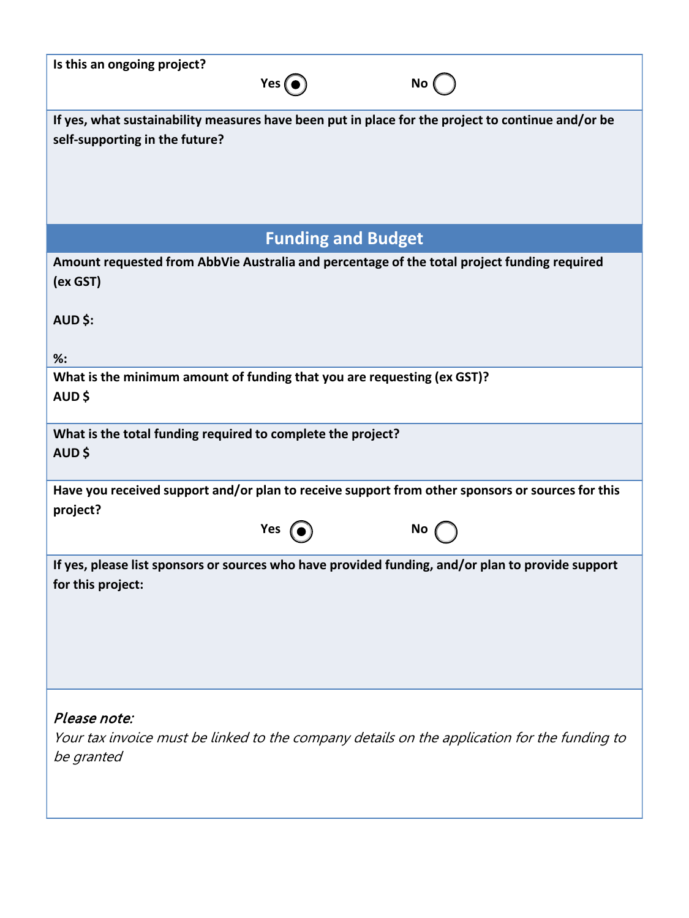| Is this an ongoing project?                                                                                                         | Yes $\odot$                    | No (                                                                                         |
|-------------------------------------------------------------------------------------------------------------------------------------|--------------------------------|----------------------------------------------------------------------------------------------|
| If yes, what sustainability measures have been put in place for the project to continue and/or be<br>self-supporting in the future? |                                |                                                                                              |
|                                                                                                                                     | <b>Funding and Budget</b>      |                                                                                              |
| Amount requested from AbbVie Australia and percentage of the total project funding required<br>(ex GST)<br>AUD \$:<br>$%$ :         |                                |                                                                                              |
| What is the minimum amount of funding that you are requesting (ex GST)?<br>AUD\$                                                    |                                |                                                                                              |
| What is the total funding required to complete the project?<br>AUD\$                                                                |                                |                                                                                              |
| Have you received support and/or plan to receive support from other sponsors or sources for this<br>project?                        |                                |                                                                                              |
|                                                                                                                                     | Yes $\left($ $\bullet \right)$ | No $\sqrt{ }$                                                                                |
| If yes, please list sponsors or sources who have provided funding, and/or plan to provide support<br>for this project:              |                                |                                                                                              |
| Please note:<br>be granted                                                                                                          |                                | Your tax invoice must be linked to the company details on the application for the funding to |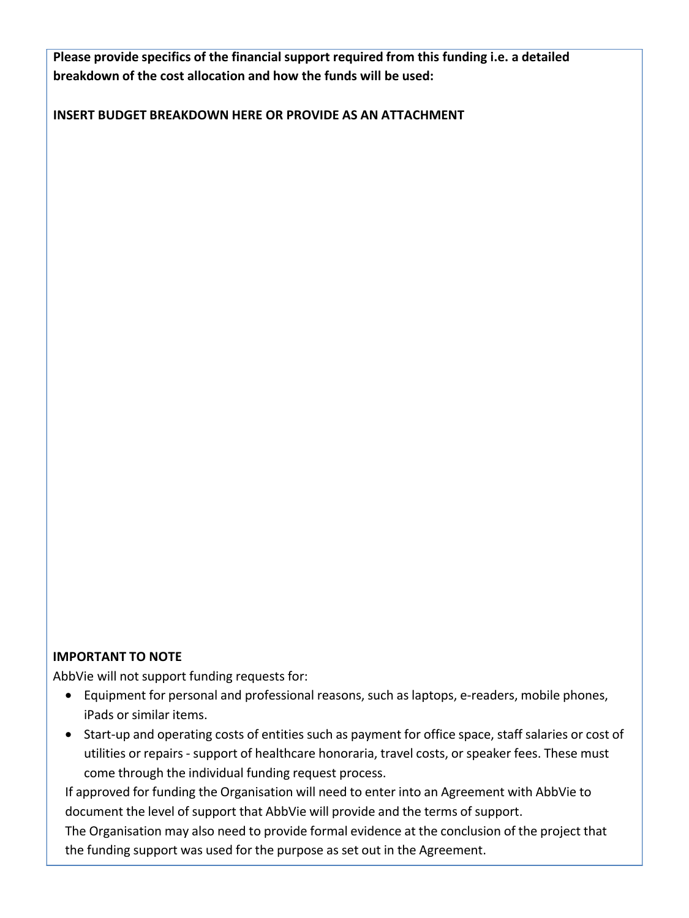**Please provide specifics of the financial support required from this funding i.e. a detailed breakdown of the cost allocation and how the funds will be used:**

**INSERT BUDGET BREAKDOWN HERE OR PROVIDE AS AN ATTACHMENT**

## **IMPORTANT TO NOTE**

AbbVie will not support funding requests for:

- Equipment for personal and professional reasons, such as laptops, e-readers, mobile phones, iPads or similar items.
- Start-up and operating costs of entities such as payment for office space, staff salaries or cost of utilities or repairs - support of healthcare honoraria, travel costs, or speaker fees. These must come through the individual funding request process.

If approved for funding the Organisation will need to enter into an Agreement with AbbVie to document the level of support that AbbVie will provide and the terms of support.

The Organisation may also need to provide formal evidence at the conclusion of the project that the funding support was used for the purpose as set out in the Agreement.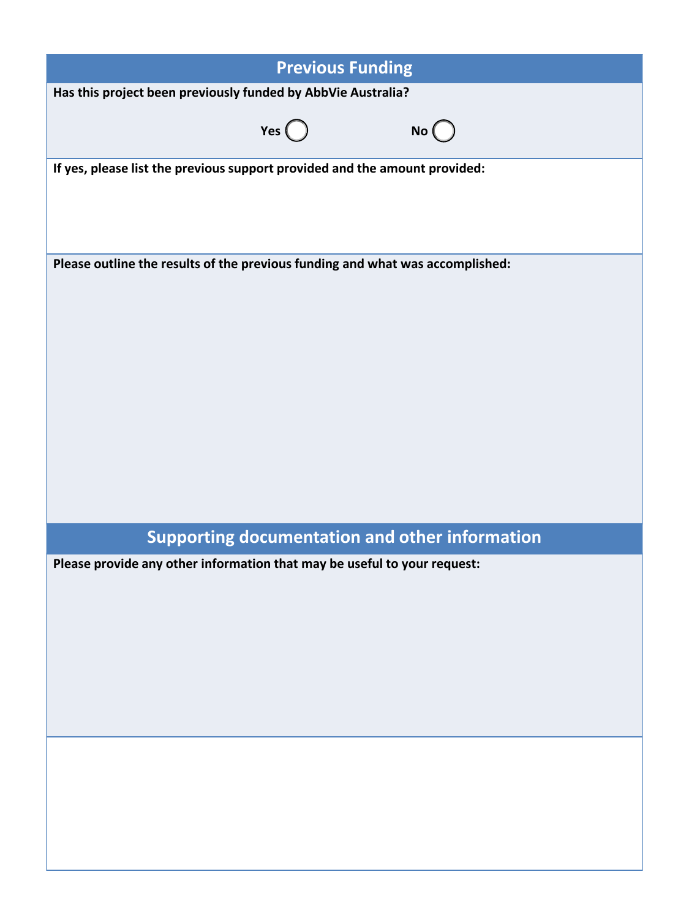| <b>Previous Funding</b>                                                       |  |  |  |
|-------------------------------------------------------------------------------|--|--|--|
| Has this project been previously funded by AbbVie Australia?                  |  |  |  |
| Yes $\bigcirc$<br>No                                                          |  |  |  |
| If yes, please list the previous support provided and the amount provided:    |  |  |  |
| Please outline the results of the previous funding and what was accomplished: |  |  |  |
| <b>Supporting documentation and other information</b>                         |  |  |  |
| Please provide any other information that may be useful to your request:      |  |  |  |
|                                                                               |  |  |  |